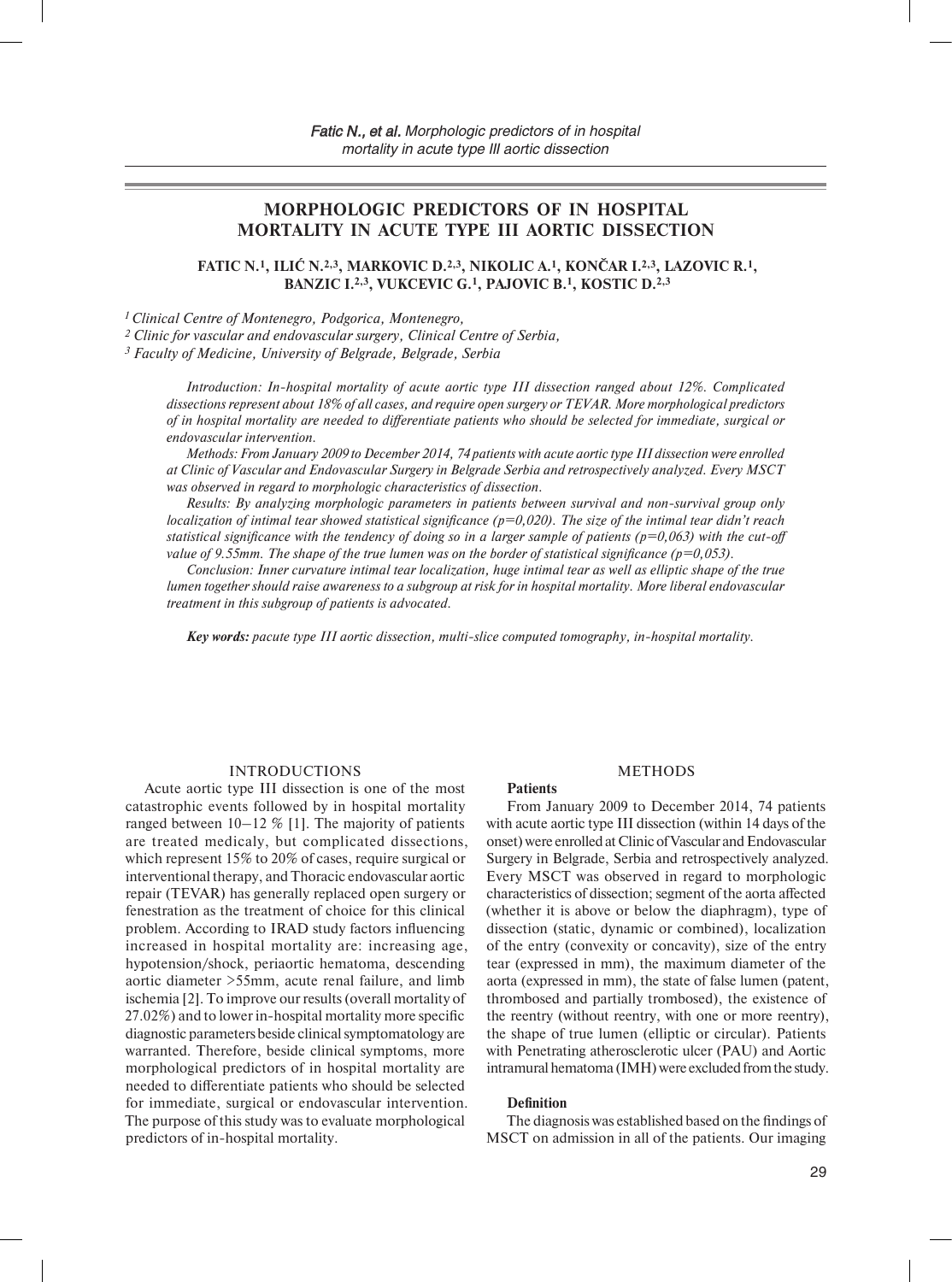# **MORPHOLOGIC PREDICTORS OF IN HOSPITAL MORTALITY IN ACUTE TYPE III AORTIC DISSECTION**

**FATIC N.1, ILIĆ N.2,3, MARKOVIC D.2,3, NIKOLIC A.1, KONČAR I.2,3, LAZOVIC R.1, BANZIC I.2,3, VUKCEVIC G.1, PAJOVIC B.1, KOSTIC D.2,3**

*1 Clinical Centre of Montenegro, Podgorica, Montenegro,*

*2 Clinic for vascular and endovascular surgery, Clinical Centre of Serbia,*

*3 Faculty of Medicine, University of Belgrade, Belgrade, Serbia*

*Introduction: In-hospital mortality of acute aortic type III dissection ranged about 12%. Complicated dissections represent about 18% of all cases, and require open surgery or TEVAR. More morphological predictors of in hospital mortality are needed to differentiate patients who should be selected for immediate, surgical or endovascular intervention.*

*Methods: From January 2009 to December 2014, 74 patients with acute aortic type III dissection were enrolled at Clinic of Vascular and Endovascular Surgery in Belgrade Serbia and retrospectively analyzed. Every MSCT was observed in regard to morphologic characteristics of dissection.* 

*Results: By analyzing morphologic parameters in patients between survival and non-survival group only localization of intimal tear showed statistical significance (p=0,020). The size of the intimal tear didn't reach statistical significance with the tendency of doing so in a larger sample of patients (* $p=0,063$ *) with the cut-off value of 9.55mm. The shape of the true lumen was on the border of statistical significance (p=0,053).*

*Conclusion: Inner curvature intimal tear localization, huge intimal tear as well as elliptic shape of the true lumen together should raise awareness to a subgroup at risk for in hospital mortality. More liberal endovascular treatment in this subgroup of patients is advocated.*

*Key words: рacute type III aortic dissection, multi-slice computed tomography, in-hospital mortality.*

### INTRODUCTIONS

Acute aortic type III dissection is one of the most catastrophic events followed by in hospital mortality ranged between  $10-12\%$  [1]. The majority of patients are treated medicaly, but complicated dissections, which represent 15% to 20% of cases, require surgical or interventional therapy, and Thoracic endovascular aortic repair (TEVAR) has generally replaced open surgery or fenestration as the treatment of choice for this clinical problem. According to IRAD study factors influencing increased in hospital mortality are: increasing age, hypotension/shock, periaortic hematoma, descending aortic diameter >55mm, acute renal failure, and limb ischemia [2]. To improve our results (overall mortality of 27.02%) and to lower in-hospital mortality more specific diagnostic parameters beside clinical symptomatology are warranted. Therefore, beside clinical symptoms, more morphological predictors of in hospital mortality are needed to differentiate patients who should be selected for immediate, surgical or endovascular intervention. The purpose of this study was to evaluate morphological predictors of in-hospital mortality.

#### METHODS

From January 2009 to December 2014, 74 patients with acute aortic type III dissection (within 14 days of the onset) were enrolled at Clinic of Vascular and Endovascular Surgery in Belgrade, Serbia and retrospectively analyzed. Every MSCT was observed in regard to morphologic characteristics of dissection; segment of the aorta affected (whether it is above or below the diaphragm), type of dissection (static, dynamic or combined), localization of the entry (convexity or concavity), size of the entry tear (expressed in mm), the maximum diameter of the aorta (expressed in mm), the state of false lumen (patent, thrombosed and partially trombosed), the existence of the reentry (without reentry, with one or more reentry), the shape of true lumen (elliptic or circular). Patients with Penetrating atherosclerotic ulcer (PAU) and Aortic intramural hematoma (IMH) were excluded from the study.

#### **Definition**

**Patients**

The diagnosis was established based on the findings of MSCT on admission in all of the patients. Our imaging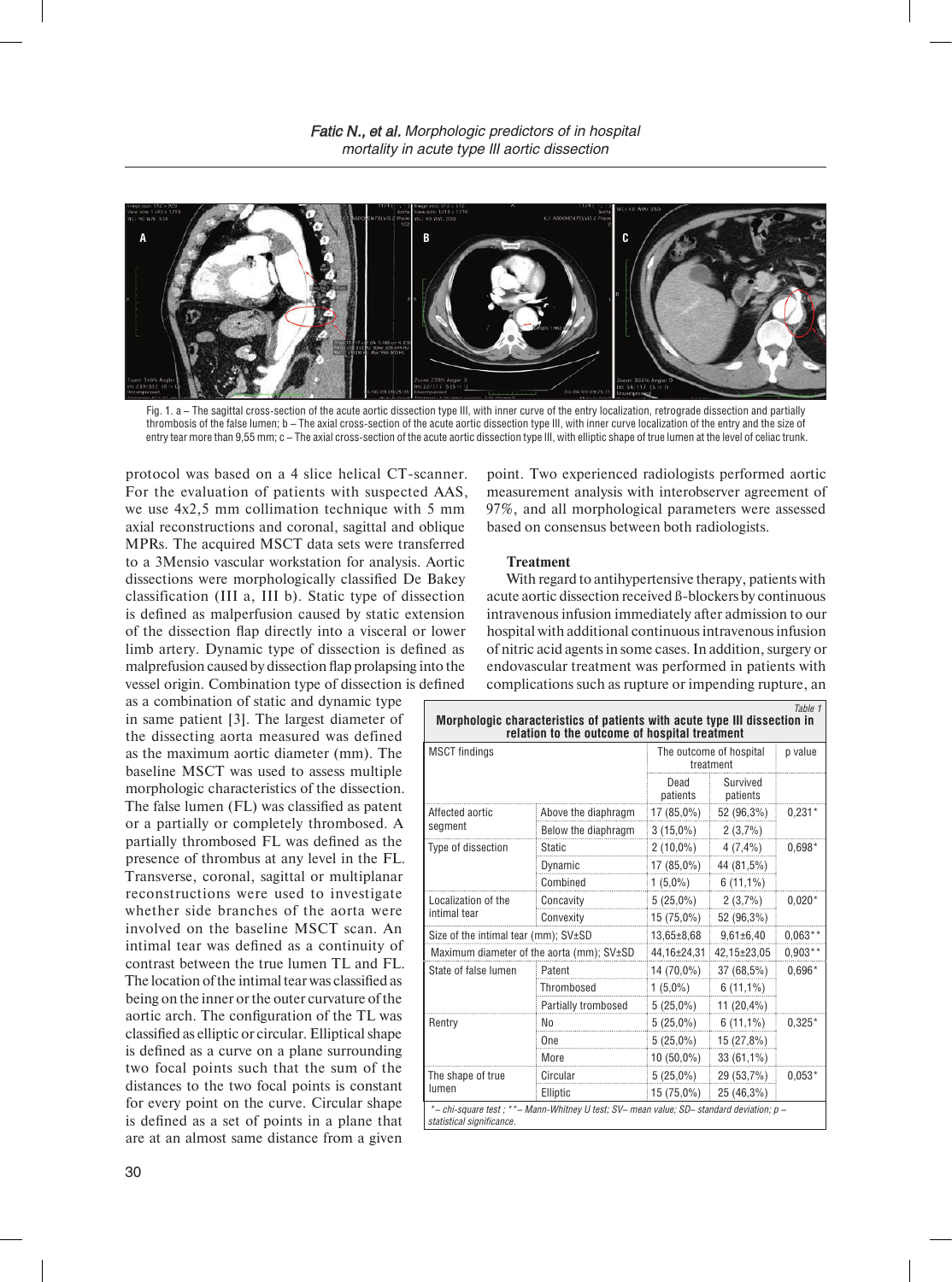

Fig. 1. a – The sagittal cross-section of the acute aortic dissection type III, with inner curve of the entry localization, retrograde dissection and partially thrombosis of the false lumen; b – The axial cross-section of the acute aortic dissection type III, with inner curve localization of the entry and the size of entry tear more than 9,55 mm; c – The axial cross-section of the acute aortic dissection type III, with elliptic shape of true lumen at the level of celiac trunk.

protocol was based on a 4 slice helical CT-scanner. For the evaluation of patients with suspected AAS, we use 4x2,5 mm collimation technique with 5 mm axial reconstructions and coronal, sagittal and oblique MPRs. The acquired MSCT data sets were transferred to a 3Mensio vascular workstation for analysis. Aortic dissections were morphologically classified De Bakey classification (III a, III b). Static type of dissection is defined as malperfusion caused by static extension of the dissection flap directly into a visceral or lower limb artery. Dynamic type of dissection is defined as malprefusion caused by dissection flap prolapsing into the vessel origin. Combination type of dissection is defined

as a combination of static and dynamic type in same patient [3]. The largest diameter of the dissecting aorta measured was defined as the maximum aortic diameter (mm). The baseline MSCT was used to assess multiple morphologic characteristics of the dissection. The false lumen (FL) was classified as patent or a partially or completely thrombosed. A partially thrombosed FL was defined as the presence of thrombus at any level in the FL. Transverse, coronal, sagittal or multiplanar reconstructions were used to investigate whether side branches of the aorta were involved on the baseline MSCT scan. An intimal tear was defined as a continuity of contrast between the true lumen TL and FL. The location of the intimal tear was classified as being on the inner or the outer curvature of the aortic arch. The configuration of the TL was classified as elliptic or circular. Elliptical shape is defined as a curve on a plane surrounding two focal points such that the sum of the distances to the two focal points is constant for every point on the curve. Circular shape is defined as a set of points in a plane that are at an almost same distance from a given

point. Two experienced radiologists performed aortic measurement analysis with interobserver agreement of 97%, and all morphological parameters were assessed based on consensus between both radiologists.

### **Treatment**

With regard to antihypertensive therapy, patients with acute aortic dissection received ß-blockers by continuous intravenous infusion immediately after admission to our hospital with additional continuous intravenous infusion of nitric acid agents in some cases. In addition, surgery or endovascular treatment was performed in patients with complications such as rupture or impending rupture, an

| Table 1<br>Morphologic characteristics of patients with acute type III dissection in<br>relation to the outcome of hospital treatment |                     |                                      |                         |           |  |  |
|---------------------------------------------------------------------------------------------------------------------------------------|---------------------|--------------------------------------|-------------------------|-----------|--|--|
| <b>MSCT</b> findings                                                                                                                  |                     | The outcome of hospital<br>treatment |                         | p value   |  |  |
|                                                                                                                                       |                     | Dead<br>patients                     | Survived<br>patients    |           |  |  |
| Affected aortic<br>segment                                                                                                            | Above the diaphragm |                                      | $17(85,0\%)$ 52 (96,3%) | $0,231*$  |  |  |
|                                                                                                                                       | Below the diaphragm | $3(15,0\%)$                          | 2(3,7%)                 |           |  |  |
| Type of dissection                                                                                                                    | <b>Static</b>       | $2(10,0\%)$ $4(7,4\%)$               |                         | $0.698*$  |  |  |
|                                                                                                                                       | Dynamic             | $17(85,0\%)$                         | 44 (81,5%)              |           |  |  |
|                                                                                                                                       | Combined            | $1(5,0\%)$                           | $6(11,1\%)$             |           |  |  |
| Localization of the<br>intimal tear                                                                                                   | Concavity           | $5(25,0\%)$                          | 2(3,7%)                 | $0.020*$  |  |  |
|                                                                                                                                       | Convexity           | 15 (75,0%)                           | 52 (96,3%)              |           |  |  |
| Size of the intimal tear (mm); $SV±SD$                                                                                                |                     | $13,65 \pm 8,68$                     | $9,61\pm6,40$           | $0.063**$ |  |  |
| Maximum diameter of the aorta (mm); SV±SD                                                                                             |                     | 44,16±24,31                          | 42,15±23,05             | $0.903**$ |  |  |
| State of false lumen                                                                                                                  | Patent              | 14 (70,0%)                           | 37 (68,5%)              | $0.696*$  |  |  |
|                                                                                                                                       | Thrombosed          | $1(5,0\%)$                           | $6(11,1\%)$             |           |  |  |
|                                                                                                                                       | Partially trombosed | $5(25,0\%)$                          | 11 $(20,4\%)$           |           |  |  |
| Rentry                                                                                                                                | No                  | $5(25,0\%)$                          | $6(11,1\%)$             | $0.325*$  |  |  |
|                                                                                                                                       | One                 | $5(25,0\%)$                          | 15 (27,8%)              |           |  |  |
|                                                                                                                                       | More                | $10(50,0\%)$                         | $33(61,1\%)$            |           |  |  |
| The shape of true<br>lumen                                                                                                            | Circular            | $5(25,0\%)$                          | 29 (53,7%)              | $0.053*$  |  |  |
|                                                                                                                                       | Elliptic            | 15 (75,0%)                           | 25 (46,3%)              |           |  |  |
| *- chi-square test ; **- Mann-Whitney U test; SV- mean value; SD- standard deviation; p -<br>statistical significance.                |                     |                                      |                         |           |  |  |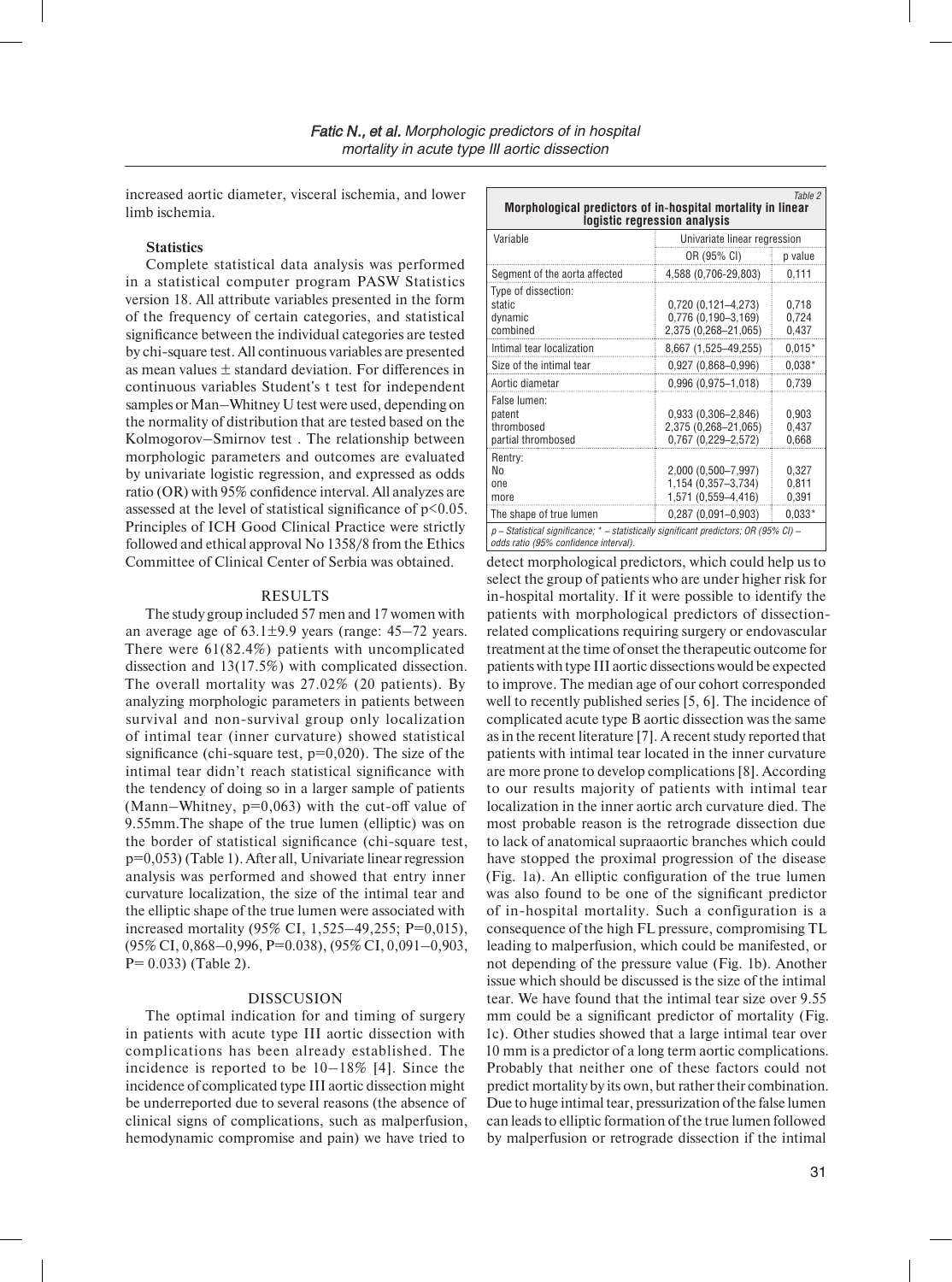increased aortic diameter, visceral ischemia, and lower limb ischemia.

# **Statistics**

Complete statistical data analysis was performed in a statistical computer program PASW Statistics version 18. All attribute variables presented in the form of the frequency of certain categories, and statistical significance between the individual categories are tested by chi-square test. All continuous variables are presented as mean values  $\pm$  standard deviation. For differences in continuous variables Student's t test for independent samples or Man–Whitney U test were used, depending on the normality of distribution that are tested based on the Kolmogorov–Smirnov test . The relationship between morphologic parameters and outcomes are evaluated by univariate logistic regression, and expressed as odds ratio (OR) with 95% confidence interval. All analyzes are assessed at the level of statistical significance of  $p<0.05$ . Principles of ICH Good Clinical Practice were strictly followed and ethical approval No 1358/8 from the Ethics Committee of Clinical Center of Serbia was obtained.

### RESULTS

The study group included 57 men and 17 women with an average age of  $63.1\pm9.9$  years (range:  $45-72$  years. There were 61(82.4%) patients with uncomplicated dissection and 13(17.5%) with complicated dissection. The overall mortality was 27.02% (20 patients). By analyzing morphologic parameters in patients between survival and non-survival group only localization of intimal tear (inner curvature) showed statistical significance (chi-square test,  $p=0,020$ ). The size of the intimal tear didn't reach statistical significance with the tendency of doing so in a larger sample of patients (Mann–Whitney,  $p=0,063$ ) with the cut-off value of 9.55mm.The shape of the true lumen (elliptic) was on the border of statistical significance (chi-square test, p=0,053) (Table 1). After all, Univariate linear regression analysis was performed and showed that entry inner curvature localization, the size of the intimal tear and the elliptic shape of the true lumen were associated with increased mortality (95% CI, 1,525–49,255; P=0,015), (95% CI, 0,868–0,996, P=0.038), (95% CI, 0,091–0,903,  $P= 0.033$ ) (Table 2).

# DISSCUSION

The optimal indication for and timing of surgery in patients with acute type III aortic dissection with complications has been already established. The incidence is reported to be 10–18% [4]. Since the incidence of complicated type III aortic dissection might be underreported due to several reasons (the absence of clinical signs of complications, such as malperfusion, hemodynamic compromise and pain) we have tried to

| Table 2<br>Morphological predictors of in-hospital mortality in linear<br>logistic regression analysis                           |                                                                                          |                                     |  |  |  |
|----------------------------------------------------------------------------------------------------------------------------------|------------------------------------------------------------------------------------------|-------------------------------------|--|--|--|
| Variable                                                                                                                         | Univariate linear regression                                                             |                                     |  |  |  |
|                                                                                                                                  | OR (95% CI)                                                                              | p value                             |  |  |  |
| Segment of the aorta affected                                                                                                    | 4,588 (0,706-29,803)                                                                     | 0,111                               |  |  |  |
| Type of dissection:<br>static<br>dynamic<br>combined                                                                             | 0,720 (0,121-4,273)<br>0,776 (0,190-3,169)<br>2,375 (0,268-21,065)                       | 0,718<br>0,724<br>0,437             |  |  |  |
| Intimal tear localization                                                                                                        | 8,667 (1,525-49,255)                                                                     | $0.015*$                            |  |  |  |
| Size of the intimal tear                                                                                                         | $0,927(0,868 - 0,996)$                                                                   | $0.038*$                            |  |  |  |
| Aortic diametar                                                                                                                  | $0,996(0,975-1,018)$                                                                     | 0,739                               |  |  |  |
| False lumen:<br>patent<br>thrombosed<br>partial thrombosed                                                                       | $0,933(0,306 - 2,846)$<br>2,375 (0,268-21,065)<br>0,767 (0,229-2,572)                    | 0,903<br>0,437<br>0,668             |  |  |  |
| Rentry:<br>No<br>one<br>more<br>The shape of true lumen                                                                          | 2,000 (0,500-7,997)<br>1,154 (0,357-3,734)<br>1,571 (0,559-4,416)<br>0,287 (0,091-0,903) | 0,327<br>0,811<br>0,391<br>$0.033*$ |  |  |  |
| $p$ – Statistical significance; * – statistically significant predictors; OR (95% CI) –<br>odds ratio (95% confidence interval). |                                                                                          |                                     |  |  |  |

detect morphological predictors, which could help us to select the group of patients who are under higher risk for in-hospital mortality. If it were possible to identify the patients with morphological predictors of dissectionrelated complications requiring surgery or endovascular treatment at the time of onset the therapeutic outcome for patients with type III aortic dissections would be expected to improve. The median age of our cohort corresponded well to recently published series [5, 6]. The incidence of complicated acute type B aortic dissection was the same as in the recent literature [7]. A recent study reported that patients with intimal tear located in the inner curvature are more prone to develop complications [8]. According to our results majority of patients with intimal tear localization in the inner aortic arch curvature died. The most probable reason is the retrograde dissection due to lack of anatomical supraaortic branches which could have stopped the proximal progression of the disease (Fig. 1a). An elliptic configuration of the true lumen was also found to be one of the significant predictor of in-hospital mortality. Such a configuration is a consequence of the high FL pressure, compromising TL leading to malperfusion, which could be manifested, or not depending of the pressure value (Fig. 1b). Another issue which should be discussed is the size of the intimal tear. We have found that the intimal tear size over 9.55 mm could be a significant predictor of mortality (Fig. 1c). Other studies showed that a large intimal tear over 10 mm is a predictor of a long term aortic complications. Probably that neither one of these factors could not predict mortality by its own, but rather their combination. Due to huge intimal tear, pressurization of the false lumen can leads to elliptic formation of the true lumen followed by malperfusion or retrograde dissection if the intimal